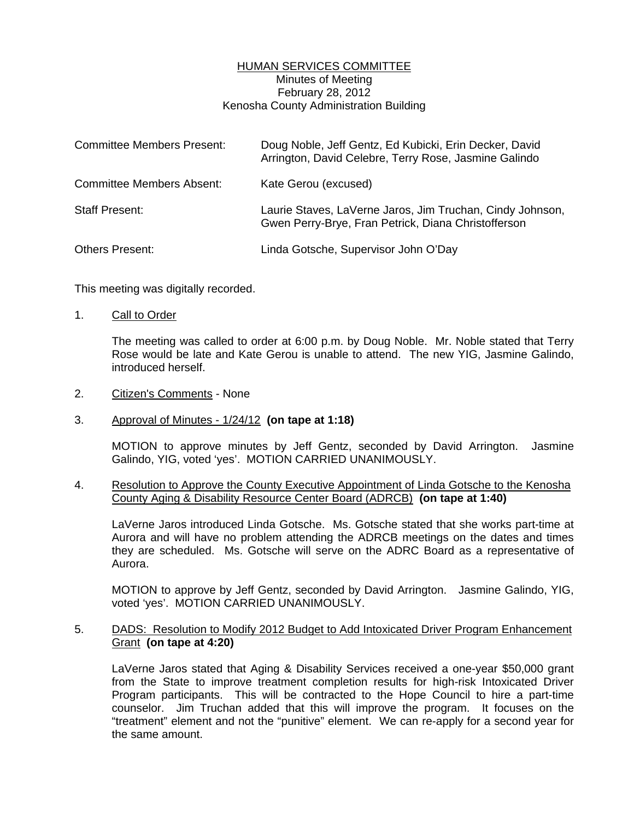# HUMAN SERVICES COMMITTEE Minutes of Meeting February 28, 2012 Kenosha County Administration Building

| <b>Committee Members Present:</b> | Doug Noble, Jeff Gentz, Ed Kubicki, Erin Decker, David<br>Arrington, David Celebre, Terry Rose, Jasmine Galindo  |
|-----------------------------------|------------------------------------------------------------------------------------------------------------------|
| <b>Committee Members Absent:</b>  | Kate Gerou (excused)                                                                                             |
| <b>Staff Present:</b>             | Laurie Staves, LaVerne Jaros, Jim Truchan, Cindy Johnson,<br>Gwen Perry-Brye, Fran Petrick, Diana Christofferson |
| <b>Others Present:</b>            | Linda Gotsche, Supervisor John O'Day                                                                             |

This meeting was digitally recorded.

1. Call to Order

 The meeting was called to order at 6:00 p.m. by Doug Noble. Mr. Noble stated that Terry Rose would be late and Kate Gerou is unable to attend. The new YIG, Jasmine Galindo, introduced herself.

2. Citizen's Comments - None

## 3. Approval of Minutes - 1/24/12 **(on tape at 1:18)**

 MOTION to approve minutes by Jeff Gentz, seconded by David Arrington. Jasmine Galindo, YIG, voted 'yes'. MOTION CARRIED UNANIMOUSLY.

## 4. Resolution to Approve the County Executive Appointment of Linda Gotsche to the Kenosha County Aging & Disability Resource Center Board (ADRCB) **(on tape at 1:40)**

 LaVerne Jaros introduced Linda Gotsche. Ms. Gotsche stated that she works part-time at Aurora and will have no problem attending the ADRCB meetings on the dates and times they are scheduled. Ms. Gotsche will serve on the ADRC Board as a representative of Aurora.

 MOTION to approve by Jeff Gentz, seconded by David Arrington. Jasmine Galindo, YIG, voted 'yes'. MOTION CARRIED UNANIMOUSLY.

#### 5. DADS: Resolution to Modify 2012 Budget to Add Intoxicated Driver Program Enhancement Grant **(on tape at 4:20)**

 LaVerne Jaros stated that Aging & Disability Services received a one-year \$50,000 grant from the State to improve treatment completion results for high-risk Intoxicated Driver Program participants. This will be contracted to the Hope Council to hire a part-time counselor. Jim Truchan added that this will improve the program. It focuses on the "treatment" element and not the "punitive" element. We can re-apply for a second year for the same amount.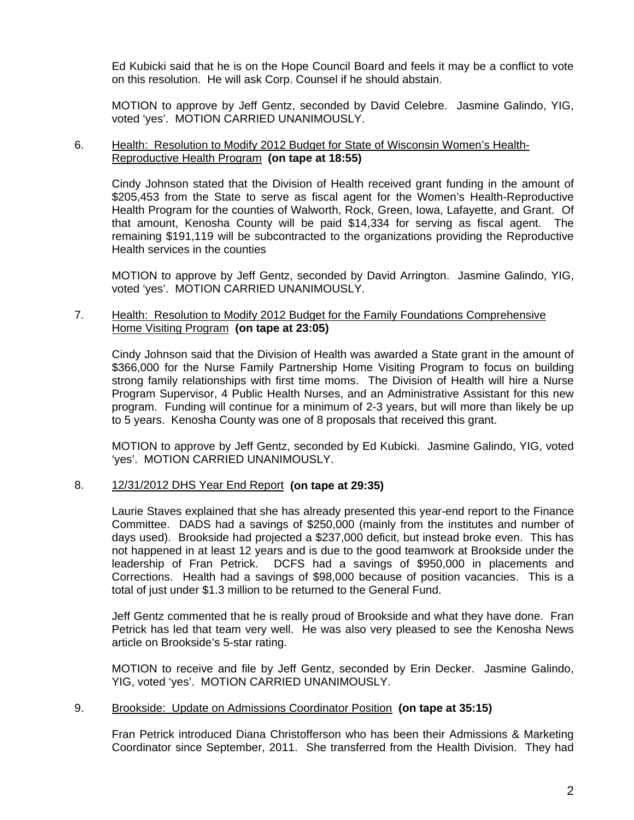Ed Kubicki said that he is on the Hope Council Board and feels it may be a conflict to vote on this resolution. He will ask Corp. Counsel if he should abstain.

 MOTION to approve by Jeff Gentz, seconded by David Celebre. Jasmine Galindo, YIG, voted 'yes'. MOTION CARRIED UNANIMOUSLY.

# 6. Health: Resolution to Modify 2012 Budget for State of Wisconsin Women's Health-Reproductive Health Program **(on tape at 18:55)**

 Cindy Johnson stated that the Division of Health received grant funding in the amount of \$205,453 from the State to serve as fiscal agent for the Women's Health-Reproductive Health Program for the counties of Walworth, Rock, Green, Iowa, Lafayette, and Grant. Of that amount, Kenosha County will be paid \$14,334 for serving as fiscal agent. The remaining \$191,119 will be subcontracted to the organizations providing the Reproductive Health services in the counties

 MOTION to approve by Jeff Gentz, seconded by David Arrington. Jasmine Galindo, YIG, voted 'yes'. MOTION CARRIED UNANIMOUSLY.

## 7. Health: Resolution to Modify 2012 Budget for the Family Foundations Comprehensive Home Visiting Program **(on tape at 23:05)**

 Cindy Johnson said that the Division of Health was awarded a State grant in the amount of \$366,000 for the Nurse Family Partnership Home Visiting Program to focus on building strong family relationships with first time moms. The Division of Health will hire a Nurse Program Supervisor, 4 Public Health Nurses, and an Administrative Assistant for this new program. Funding will continue for a minimum of 2-3 years, but will more than likely be up to 5 years. Kenosha County was one of 8 proposals that received this grant.

 MOTION to approve by Jeff Gentz, seconded by Ed Kubicki. Jasmine Galindo, YIG, voted 'yes'. MOTION CARRIED UNANIMOUSLY.

## 8. 12/31/2012 DHS Year End Report **(on tape at 29:35)**

 Laurie Staves explained that she has already presented this year-end report to the Finance Committee. DADS had a savings of \$250,000 (mainly from the institutes and number of days used). Brookside had projected a \$237,000 deficit, but instead broke even. This has not happened in at least 12 years and is due to the good teamwork at Brookside under the leadership of Fran Petrick. DCFS had a savings of \$950,000 in placements and Corrections. Health had a savings of \$98,000 because of position vacancies. This is a total of just under \$1.3 million to be returned to the General Fund.

 Jeff Gentz commented that he is really proud of Brookside and what they have done. Fran Petrick has led that team very well. He was also very pleased to see the Kenosha News article on Brookside's 5-star rating.

 MOTION to receive and file by Jeff Gentz, seconded by Erin Decker. Jasmine Galindo, YIG, voted 'yes'. MOTION CARRIED UNANIMOUSLY.

## 9. Brookside: Update on Admissions Coordinator Position **(on tape at 35:15)**

 Fran Petrick introduced Diana Christofferson who has been their Admissions & Marketing Coordinator since September, 2011. She transferred from the Health Division. They had